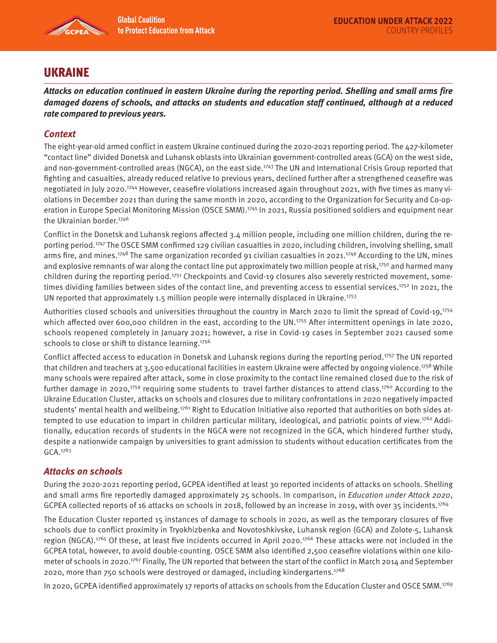

## UKRAINE

**Attacks on education continued in eastern Ukraine during the reporting period. Shelling and small arms fire damaged dozens of schools, and attacks on students and education staff continued, although at a reduced rate compared to previous years.** 

## **Context**

The eight-year-old armed conflict in eastern Ukraine continued during the 2020-2021 reporting period. The 427-kilometer "contact line" divided Donetsk and Luhansk oblasts into Ukrainian government-controlled areas (GCA) on the west side, and non-government-controlled areas (NGCA), on the east side.<sup>1743</sup> The UN and International Crisis Group reported that fighting and casualties, already reduced relative to previous years, declined further after a strengthened ceasefire was negotiated in July 2020.1744 However, ceasefire violations increased again throughout 2021, with five times as many violations in December 2021 than during the same month in 2020, according to the Organization for Security and Co-operation in Europe Special Monitoring Mission (OSCE SMM).<sup>1745</sup> In 2021, Russia positioned soldiers and equipment near the Ukrainian border.<sup>1746</sup>

Conflict in the Donetsk and Luhansk regions affected 3.4 million people, including one million children, during the reporting period.1747 The OSCE SMM confirmed 129 civilian casualties in 2020, including children, involving shelling, small arms fire, and mines.<sup>1748</sup> The same organization recorded 91 civilian casualties in 2021.<sup>1749</sup> According to the UN, mines and explosive remnants of war along the contact line put approximately two million people at risk,<sup>1750</sup> and harmed many children during the reporting period.1751 Checkpoints and Covid-19 closures also severely restricted movement, sometimes dividing families between sides of the contact line, and preventing access to essential services.<sup>1752</sup> In 2021, the UN reported that approximately 1.5 million people were internally displaced in Ukraine.1753

Authorities closed schools and universities throughout the country in March 2020 to limit the spread of Covid-19,<sup>1754</sup> which affected over 600,000 children in the east, according to the UN.<sup>1755</sup> After intermittent openings in late 2020, schools reopened completely in January 2021; however, a rise in Covid-19 cases in September 2021 caused some schools to close or shift to distance learning.<sup>1756</sup>

Conflict affected access to education in Donetsk and Luhansk regions during the reporting period.<sup>1757</sup> The UN reported that children and teachers at 3,500 educational facilities in eastern Ukraine were affected by ongoing violence.<sup>1758</sup> While many schools were repaired after attack, some in close proximity to the contact line remained closed due to the risk of further damage in 2020,<sup>1759</sup> requiring some students to travel farther distances to attend class.<sup>1760</sup> According to the Ukraine Education Cluster, attacks on schools and closures due to military confrontations in 2020 negatively impacted students' mental health and wellbeing.<sup>1761</sup> Right to Education Initiative also reported that authorities on both sides attempted to use education to impart in children particular military, ideological, and patriotic points of view.1762 Additionally, education records of students in the NGCA were not recognized in the GCA, which hindered further study, despite a nationwide campaign by universities to grant admission to students without education certificates from the GCA.1763

## **Attacks on schools**

During the 2020-2021 reporting period, GCPEA identified at least 30 reported incidents of attacks on schools. Shelling and small arms fire reportedly damaged approximately 25 schools. In comparison, in Education under Attack 2020, GCPEA collected reports of 16 attacks on schools in 2018, followed by an increase in 2019, with over 35 incidents.<sup>1764</sup>

The Education Cluster reported 15 instances of damage to schools in 2020, as well as the temporary closures of five schools due to conflict proximity in Tryokhizbenka and Novotoshkivske, Luhansk region (GCA) and Zolote-5, Luhansk region (NGCA).<sup>1765</sup> Of these, at least five incidents occurred in April 2020.<sup>1766</sup> These attacks were not included in the GCPEA total, however, to avoid double-counting. OSCE SMM also identified 2,500 ceasefire violations within one kilometer of schools in 2020.<sup>1767</sup> Finally, The UN reported that between the start of the conflict in March 2014 and September 2020, more than 750 schools were destroyed or damaged, including kindergartens.1768

In 2020, GCPEA identified approximately 17 reports of attacks on schools from the Education Cluster and OSCE SMM.1769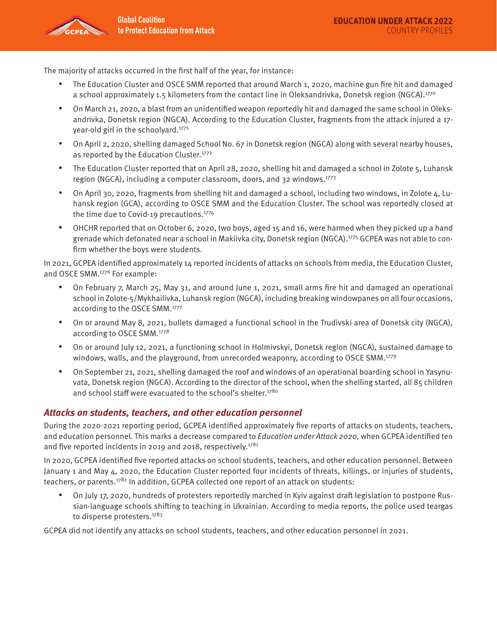

The majority of attacks occurred in the first half of the year, for instance:

- The Education Cluster and OSCE SMM reported that around March 1, 2020, machine gun fire hit and damaged a school approximately 1.5 kilometers from the contact line in Oleksandrivka, Donetsk region (NGCA).<sup>1770</sup>
- On March 21, 2020, a blast from an unidentified weapon reportedly hit and damaged the same school in Oleksandrivka, Donetsk region (NGCA). According to the Education Cluster, fragments from the attack injured a 17 year-old girl in the schoolyard.<sup>1771</sup>
- On April 2, 2020, shelling damaged School No. 67 in Donetsk region (NGCA) along with several nearby houses, as reported by the Education Cluster.<sup>1772</sup>
- The Education Cluster reported that on April 28, 2020, shelling hit and damaged a school in Zolote 5, Luhansk region (NGCA), including a computer classroom, doors, and 32 windows.1773
- On April 30, 2020, fragments from shelling hit and damaged a school, including two windows, in Zolote 4, Luhansk region (GCA), according to OSCE SMM and the Education Cluster. The school was reportedly closed at the time due to Covid-19 precautions.<sup>1774</sup>
- OHCHR reported that on October 6, 2020, two boys, aged 15 and 16, were harmed when they picked up a hand grenade which detonated near a school in Makiivka city, Donetsk region (NGCA).1775 GCPEA was not able to confirm whether the boys were students.

In 2021, GCPEA identified approximately 14 reported incidents of attacks on schools from media, the Education Cluster, and OSCE SMM.1776 For example:

- On February 7, March 25, May 31, and around June 1, 2021, small arms fire hit and damaged an operational school in Zolote-5/Mykhailivka, Luhansk region (NGCA), including breaking windowpanes on all four occasions, according to the OSCE SMM.1777
- On or around May 8, 2021, bullets damaged a functional school in the Trudivski area of Donetsk city (NGCA), according to OSCE SMM.1778
- On or around July 12, 2021, a functioning school in Holmivskyi, Donetsk region (NGCA), sustained damage to windows, walls, and the playground, from unrecorded weaponry, according to OSCE SMM.<sup>1779</sup>
- On September 21, 2021, shelling damaged the roof and windows of an operational boarding school in Yasynuvata, Donetsk region (NGCA). According to the director of the school, when the shelling started, all 85 children and school staff were evacuated to the school's shelter.<sup>1780</sup>

## **Attacks on students, teachers, and other education personnel**

During the 2020-2021 reporting period, GCPEA identified approximately five reports of attacks on students, teachers, and education personnel. This marks a decrease compared to Education under Attack 2020, when GCPEA identified ten and five reported incidents in 2019 and 2018, respectively.<sup>1781</sup>

In 2020, GCPEA identified five reported attacks on school students, teachers, and other education personnel. Between January 1 and May 4, 2020, the Education Cluster reported four incidents of threats, killings, or injuries of students, teachers, or parents. $1782$  In addition, GCPEA collected one report of an attack on students:

• On July 17, 2020, hundreds of protesters reportedly marched in Kyiv against draft legislation to postpone Russian-language schools shifting to teaching in Ukrainian. According to media reports, the police used teargas to disperse protesters.<sup>1783</sup>

GCPEA did not identify any attacks on school students, teachers, and other education personnel in 2021.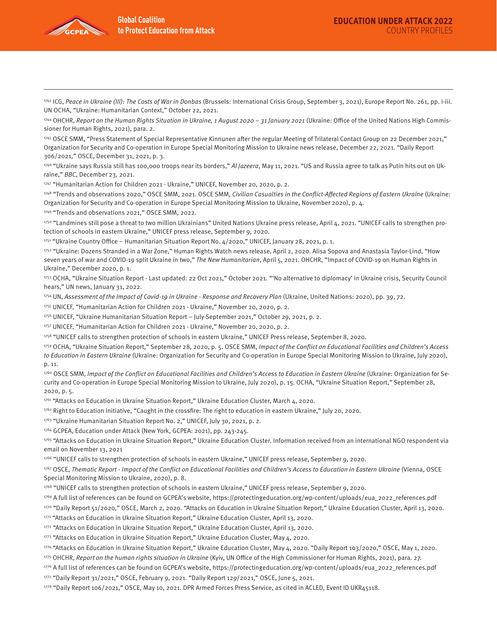

1743 ICG, Peace in Ukraine (III): The Costs of War in Donbas (Brussels: International Crisis Group, September 3, 2021), Europe Report No. 261, pp. i-iii. UN OCHA, "Ukraine: Humanitarian Context," October 22, 2021.

1744 OHCHR, Report on the Human Rights Situation in Ukraine, 1 August 2020 - 31 January 2021 (Ukraine: Office of the United Nations High Commissioner for Human Rights, 2021), para. 2.

1745 OSCE SMM, "Press Statement of Special Representative Kinnunen after the regular Meeting of Trilateral Contact Group on 22 December 2021," Organization for Security and Co-operation in Europe Special Monitoring Mission to Ukraine news release, December 22, 2021. "Daily Report 306/2021," OSCE, December 31, 2021, p. 3.

1746 "Ukraine says Russia still has 100,000 troops near its borders," Al Jazeera, May 11, 2021. "US and Russia agree to talk as Putin hits out on Ukraine," BBC, December 23, 2021.

1747 "Humanitarian Action for Children 2021 - Ukraine," UNICEF, November 20, 2020, p. 2.

1748 "Trends and observations 2020," OSCE SMM, 2021. OSCE SMM, Civilian Casualties in the Conflict-Affected Regions of Eastern Ukraine (Ukraine: Organization for Security and Co-operation in Europe Special Monitoring Mission to Ukraine, November 2020), p. 4.

1749 "Trends and observations 2021," OSCE SMM, 2022.

1750 "Landmines still pose a threat to two million Ukrainians" United Nations Ukraine press release, April 4, 2021. "UNICEF calls to strengthen protection of schools in eastern Ukraine," UNICEF press release, September 9, 2020.

1751 "Ukraine Country Office – Humanitarian Situation Report No. 4/2020," UNICEF, January 28, 2021, p. 1.

1752 "Ukraine: Dozens Stranded in a War Zone," Human Rights Watch news release, April 2, 2020. Alisa Sopova and Anastasia Taylor-Lind, "How seven years of war and COVID-19 split Ukraine in two," The New Humanitarian, April 5, 2021. OHCHR, "Impact of COVID-19 on Human Rights in Ukraine," December 2020, p. 1.

1753 OCHA, "Ukraine Situation Report - Last updated: 22 Oct 2021," October 2021. "'No alternative to diplomacy' in Ukraine crisis, Security Council hears," UN news, January 31, 2022.

1754 UN, Assessment of the Impact of Covid-19 in Ukraine - Response and Recovery Plan (Ukraine, United Nations: 2020), pp. 39, 72.

1755 UNICEF, "Humanitarian Action for Children 2021 - Ukraine," November 20, 2020, p. 2.

1756 UNICEF, "Ukraine Humanitarian Situation Report – July-September 2021," October 29, 2021, p. 2.

1757 UNICEF, "Humanitarian Action for Children 2021 - Ukraine," November 20, 2020, p. 2.

1758 "UNICEF calls to strengthen protection of schools in eastern Ukraine," UNICEF Press release, September 8, 2020.

1759 OCHA, "Ukraine Situation Report," September 28, 2020, p. 5. OSCE SMM, Impact of the Conflict on Educational Facilities and Children's Access to Education in Eastern Ukraine (Ukraine: Organization for Security and Co-operation in Europe Special Monitoring Mission to Ukraine, July 2020), p. 11.

1760 OSCE SMM, Impact of the Conflict on Educational Facilities and Children's Access to Education in Eastern Ukraine (Ukraine: Organization for Security and Co-operation in Europe Special Monitoring Mission to Ukraine, July 2020), p. 15. OCHA, "Ukraine Situation Report," September 28, 2020, p. 5.

1761 "Attacks on Education in Ukraine Situation Report," Ukraine Education Cluster, March 4, 2020.

1762 Right to Education Initiative, "Caught in the crossfire: The right to education in eastern Ukraine," July 20, 2020.

1763 "Ukraine Humanitarian Situation Report No. 2," UNICEF, July 30, 2021, p. 2.

1764 GCPEA, Education under Attack (New York, GCPEA: 2021), pp. 243-245.

1765 "Attacks on Education in Ukraine Situation Report," Ukraine Education Cluster. Information received from an international NGO respondent via email on November 13, 2021

1766 "UNICEF calls to strengthen protection of schools in eastern Ukraine," UNICEF press release, September 9, 2020.

1767 OSCE, Thematic Report - Impact of the Conflict on Educational Facilities and Children's Access to Education in Eastern Ukraine (Vienna, OSCE Special Monitoring Mission to Ukraine, 2020), p. 8.

1768 "UNICEF calls to strengthen protection of schools in eastern Ukraine," UNICEF press release, September 9, 2020.

1769 A full list of references can be found on GCPEA's website, https://protectingeducation.org/wp-content/uploads/eua\_2022\_references.pdf

1770 "Daily Report 51/2020," OSCE, March 2, 2020. "Attacks on Education in Ukraine Situation Report," Ukraine Education Cluster, April 13, 2020.

1771 "Attacks on Education in Ukraine Situation Report," Ukraine Education Cluster, April 13, 2020.

1772 "Attacks on Education in Ukraine Situation Report," Ukraine Education Cluster, April 13, 2020.

1773 "Attacks on Education in Ukraine Situation Report," Ukraine Education Cluster, May 4, 2020.

1774 "Attacks on Education in Ukraine Situation Report," Ukraine Education Cluster, May 4, 2020. "Daily Report 103/2020," OSCE, May 1, 2020.

1775 OHCHR, Report on the human rights situation in Ukraine (Kyiv, UN Office of the High Commissioner for Human Rights, 2021), para. 27.

1776 A full list of references can be found on GCPEA's website, https://protectingeducation.org/wp-content/uploads/eua\_2022\_references.pdf

1777 "Daily Report 31/2021," OSCE, February 9, 2021. "Daily Report 129/2021," OSCE, June 5, 2021.

1778 "Daily Report 106/2021," OSCE, May 10, 2021. DPR Armed Forces Press Service, as cited in ACLED, Event ID UKR45118.